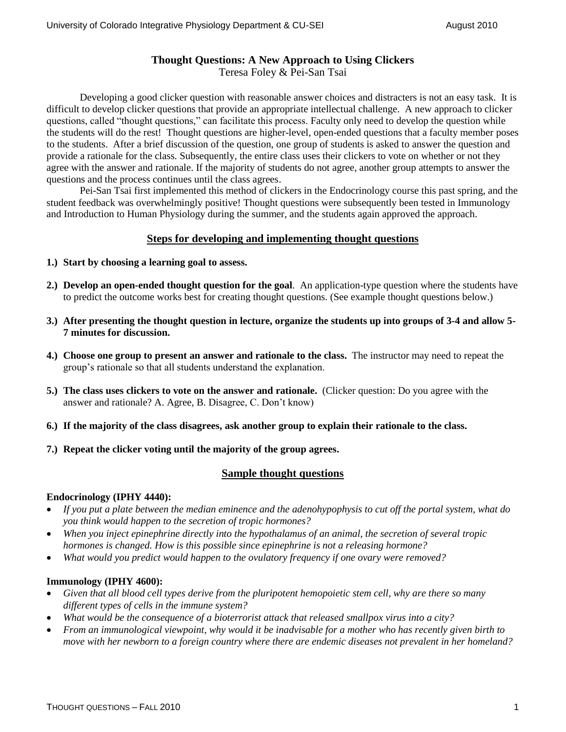### **Thought Questions: A New Approach to Using Clickers** Teresa Foley & Pei-San Tsai

Developing a good clicker question with reasonable answer choices and distracters is not an easy task. It is difficult to develop clicker questions that provide an appropriate intellectual challenge. A new approach to clicker questions, called "thought questions," can facilitate this process. Faculty only need to develop the question while the students will do the rest! Thought questions are higher-level, open-ended questions that a faculty member poses to the students. After a brief discussion of the question, one group of students is asked to answer the question and provide a rationale for the class. Subsequently, the entire class uses their clickers to vote on whether or not they agree with the answer and rationale. If the majority of students do not agree, another group attempts to answer the questions and the process continues until the class agrees.

Pei-San Tsai first implemented this method of clickers in the Endocrinology course this past spring, and the student feedback was overwhelmingly positive! Thought questions were subsequently been tested in Immunology and Introduction to Human Physiology during the summer, and the students again approved the approach.

# **Steps for developing and implementing thought questions**

- **1.) Start by choosing a learning goal to assess.**
- **2.) Develop an open-ended thought question for the goal**. An application-type question where the students have to predict the outcome works best for creating thought questions. (See example thought questions below.)
- **3.) After presenting the thought question in lecture, organize the students up into groups of 3-4 and allow 5- 7 minutes for discussion.**
- **4.) Choose one group to present an answer and rationale to the class.** The instructor may need to repeat the group's rationale so that all students understand the explanation.
- **5.)** The class uses clickers to vote on the answer and rationale. (Clicker question: Do you agree with the answer and rationale? A. Agree, B. Disagree, C. Don't know)
- **6.) If the majority of the class disagrees, ask another group to explain their rationale to the class.**
- **7.) Repeat the clicker voting until the majority of the group agrees.**

## **Sample thought questions**

#### **Endocrinology (IPHY 4440):**

- *If you put a plate between the median eminence and the adenohypophysis to cut off the portal system, what do you think would happen to the secretion of tropic hormones?*
- *When you inject epinephrine directly into the hypothalamus of an animal, the secretion of several tropic hormones is changed. How is this possible since epinephrine is not a releasing hormone?*
- *What would you predict would happen to the ovulatory frequency if one ovary were removed?*

## **Immunology (IPHY 4600):**

- *Given that all blood cell types derive from the pluripotent hemopoietic stem cell, why are there so many different types of cells in the immune system?*
- *What would be the consequence of a bioterrorist attack that released smallpox virus into a city?*
- *From an immunological viewpoint, why would it be inadvisable for a mother who has recently given birth to move with her newborn to a foreign country where there are endemic diseases not prevalent in her homeland?*